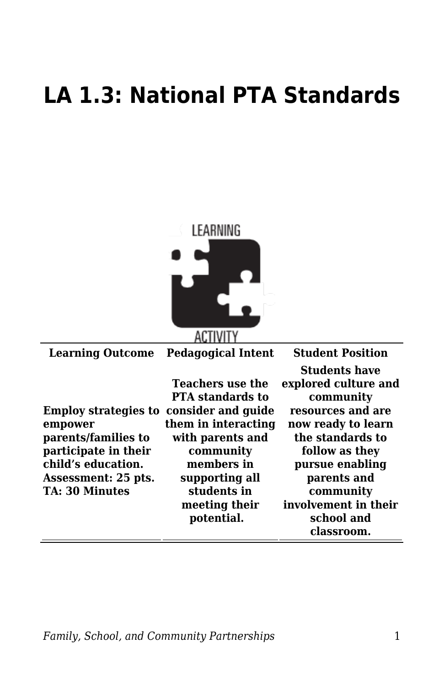## **LA 1.3: National PTA Standards**



| <b>Learning Outcome</b>                                                                                                                                                        | <b>Pedagogical Intent</b>                                                                                                          | <b>Student Position</b>                                                                                                                                                          |
|--------------------------------------------------------------------------------------------------------------------------------------------------------------------------------|------------------------------------------------------------------------------------------------------------------------------------|----------------------------------------------------------------------------------------------------------------------------------------------------------------------------------|
|                                                                                                                                                                                | <b>Teachers use the</b><br><b>PTA</b> standards to                                                                                 | <b>Students have</b><br>explored culture and<br>community                                                                                                                        |
| <b>Employ strategies to consider and guide</b><br>empower<br>parents/families to<br>participate in their<br>child's education.<br>Assessment: 25 pts.<br><b>TA: 30 Minutes</b> | them in interacting<br>with parents and<br>community<br>members in<br>supporting all<br>students in<br>meeting their<br>potential. | resources and are<br>now ready to learn<br>the standards to<br>follow as they<br>pursue enabling<br>parents and<br>community<br>involvement in their<br>school and<br>classroom. |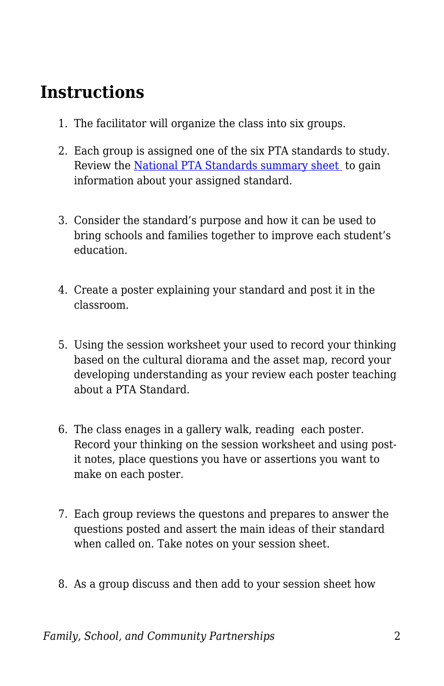## **Instructions**

- 1. The facilitator will organize the class into six groups.
- 2. Each group is assigned one of the six PTA standards to study. Review the [National PTA Standards summary sheet](https://byu.box.com/s/0kprzbzy95yiz1xc3gl01kqvsmm5vu9c) to gain information about your assigned standard.
- 3. Consider the standard's purpose and how it can be used to bring schools and families together to improve each student's education.
- 4. Create a poster explaining your standard and post it in the classroom.
- 5. Using the session worksheet your used to record your thinking based on the cultural diorama and the asset map, record your developing understanding as your review each poster teaching about a PTA Standard.
- 6. The class enages in a gallery walk, reading each poster. Record your thinking on the session worksheet and using postit notes, place questions you have or assertions you want to make on each poster.
- 7. Each group reviews the questons and prepares to answer the questions posted and assert the main ideas of their standard when called on. Take notes on your session sheet.
- 8. As a group discuss and then add to your session sheet how